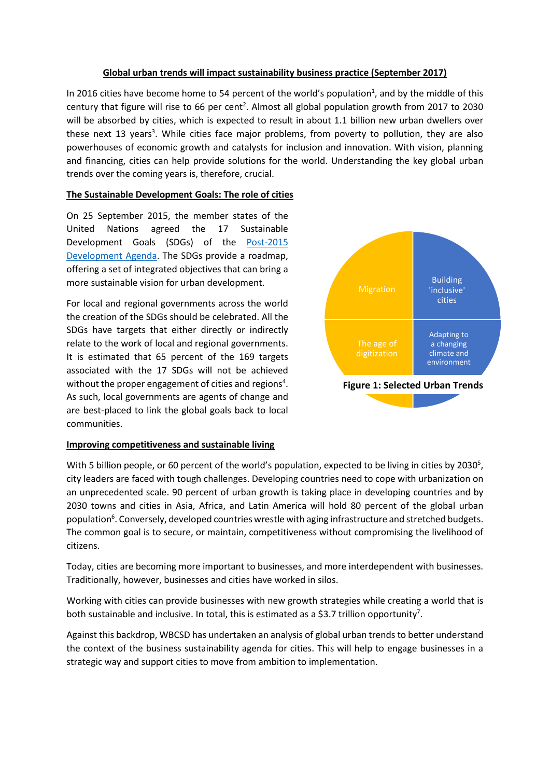#### **Global urban trends will impact sustainability business practice (September 2017)**

In 2016 cities have become home to 54 percent of the world's population<sup>1</sup>, and by the middle of this century that figure will rise to 66 per cent<sup>2</sup>. Almost all global population growth from 2017 to 2030 will be absorbed by cities, which is expected to result in about 1.1 billion new urban dwellers over these next 13 years<sup>3</sup>. While cities face major problems, from poverty to pollution, they are also powerhouses of economic growth and catalysts for inclusion and innovation. With vision, planning and financing, cities can help provide solutions for the world. Understanding the key global urban trends over the coming years is, therefore, crucial.

## **The Sustainable Development Goals: The role of cities**

On 25 September 2015, the member states of the United Nations agreed the 17 Sustainable Development Goals (SDGs) of the [Post-2015](http://www.un.org/sustainabledevelopment/sustainable-development-goals/)  [Development Agenda.](http://www.un.org/sustainabledevelopment/sustainable-development-goals/) The SDGs provide a roadmap, offering a set of integrated objectives that can bring a more sustainable vision for urban development.

For local and regional governments across the world the creation of the SDGs should be celebrated. All the SDGs have targets that either directly or indirectly relate to the work of local and regional governments. It is estimated that 65 percent of the 169 targets associated with the 17 SDGs will not be achieved without the proper engagement of cities and regions<sup>4</sup>. As such, local governments are agents of change and are best-placed to link the global goals back to local communities.



#### **Improving competitiveness and sustainable living**

With 5 billion people, or 60 percent of the world's population, expected to be living in cities by 2030<sup>5</sup>, city leaders are faced with tough challenges. Developing countries need to cope with urbanization on an unprecedented scale. 90 percent of urban growth is taking place in developing countries and by 2030 towns and cities in Asia, Africa, and Latin America will hold 80 percent of the global urban population<sup>6</sup>. Conversely, developed countries wrestle with aging infrastructure and stretched budgets. The common goal is to secure, or maintain, competitiveness without compromising the livelihood of citizens.

Today, cities are becoming more important to businesses, and more interdependent with businesses. Traditionally, however, businesses and cities have worked in silos.

Working with cities can provide businesses with new growth strategies while creating a world that is both sustainable and inclusive. In total, this is estimated as a \$3.7 trillion opportunity<sup>7</sup>.

Against this backdrop, WBCSD has undertaken an analysis of global urban trends to better understand the context of the business sustainability agenda for cities. This will help to engage businesses in a strategic way and support cities to move from ambition to implementation.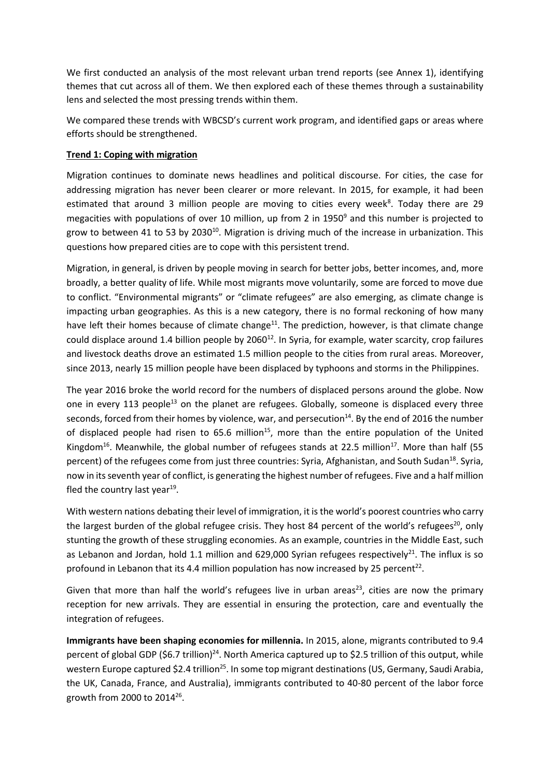We first conducted an analysis of the most relevant urban trend reports (see Annex 1), identifying themes that cut across all of them. We then explored each of these themes through a sustainability lens and selected the most pressing trends within them.

We compared these trends with WBCSD's current work program, and identified gaps or areas where efforts should be strengthened.

## **Trend 1: Coping with migration**

Migration continues to dominate news headlines and political discourse. For cities, the case for addressing migration has never been clearer or more relevant. In 2015, for example, it had been estimated that around 3 million people are moving to cities every week<sup>8</sup>. Today there are 29 megacities with populations of over 10 million, up from 2 in 1950 $9$  and this number is projected to grow to between 41 to 53 by 2030<sup>10</sup>. Migration is driving much of the increase in urbanization. This questions how prepared cities are to cope with this persistent trend.

Migration, in general, is driven by people moving in search for better jobs, better incomes, and, more broadly, a better quality of life. While most migrants move voluntarily, some are forced to move due to conflict. "Environmental migrants" or "climate refugees" are also emerging, as climate change is impacting urban geographies. As this is a new category, there is no formal reckoning of how many have left their homes because of climate change<sup>11</sup>. The prediction, however, is that climate change could displace around 1.4 billion people by 2060 $^{12}$ . In Syria, for example, water scarcity, crop failures and livestock deaths drove an estimated 1.5 million people to the cities from rural areas. Moreover, since 2013, nearly 15 million people have been displaced by typhoons and storms in the Philippines.

The year 2016 broke the world record for the numbers of displaced persons around the globe. Now one in every 113 people<sup>13</sup> on the planet are refugees. Globally, someone is displaced every three seconds, forced from their homes by violence, war, and persecution<sup>14</sup>. By the end of 2016 the number of displaced people had risen to 65.6 million<sup>15</sup>, more than the entire population of the United Kingdom<sup>16</sup>. Meanwhile, the global number of refugees stands at 22.5 million<sup>17</sup>. More than half (55 percent) of the refugees come from just three countries: Syria, Afghanistan, and South Sudan<sup>18</sup>. Svria. now in its seventh year of conflict, is generating the highest number of refugees. Five and a half million fled the country last year<sup>19</sup>.

With western nations debating their level of immigration, it is the world's poorest countries who carry the largest burden of the global refugee crisis. They host 84 percent of the world's refugees<sup>20</sup>, only stunting the growth of these struggling economies. As an example, countries in the Middle East, such as Lebanon and Jordan, hold 1.1 million and 629,000 Syrian refugees respectively<sup>21</sup>. The influx is so profound in Lebanon that its 4.4 million population has now increased by 25 percent<sup>22</sup>.

Given that more than half the world's refugees live in urban areas<sup>23</sup>, cities are now the primary reception for new arrivals. They are essential in ensuring the protection, care and eventually the integration of refugees.

**Immigrants have been shaping economies for millennia.** In 2015, alone, migrants contributed to 9.4 percent of global GDP (\$6.7 trillion)<sup>24</sup>. North America captured up to \$2.5 trillion of this output, while western Europe captured \$2.4 trillion<sup>25</sup>. In some top migrant destinations (US, Germany, Saudi Arabia, the UK, Canada, France, and Australia), immigrants contributed to 40-80 percent of the labor force growth from 2000 to 2014<sup>26</sup> .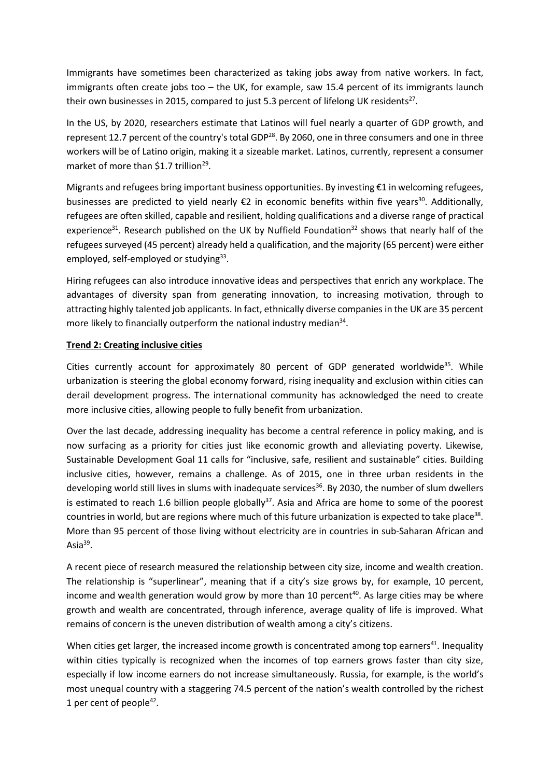Immigrants have sometimes been characterized as taking jobs away from native workers. In fact, immigrants often create jobs too – the UK, for example, saw 15.4 percent of its immigrants launch their own businesses in 2015, compared to just 5.3 percent of lifelong UK residents<sup>27</sup>.

In the US, by 2020, researchers estimate that Latinos will fuel nearly a quarter of GDP growth, and represent 12.7 percent of the country's total GDP<sup>28</sup>. By 2060, one in three consumers and one in three workers will be of Latino origin, making it a sizeable market. Latinos, currently, represent a consumer market of more than \$1.7 trillion<sup>29</sup>.

Migrants and refugees bring important business opportunities. By investing €1 in welcoming refugees, businesses are predicted to yield nearly  $E2$  in economic benefits within five years<sup>30</sup>. Additionally, refugees are often skilled, capable and resilient, holding qualifications and a diverse range of practical experience<sup>31</sup>. Research published on the UK by Nuffield Foundation<sup>32</sup> shows that nearly half of the refugees surveyed (45 percent) already held a qualification, and the majority (65 percent) were either employed, self-employed or studying<sup>33</sup>.

Hiring refugees can also introduce innovative ideas and perspectives that enrich any workplace. The advantages of diversity span from generating innovation, to increasing motivation, through to attracting highly talented job applicants. In fact, ethnically diverse companies in the UK are 35 percent more likely to financially outperform the national industry median<sup>34</sup>.

## **Trend 2: Creating inclusive cities**

Cities currently account for approximately 80 percent of GDP generated worldwide<sup>35</sup>. While urbanization is steering the global economy forward, rising inequality and exclusion within cities can derail development progress. The international community has acknowledged the need to create more inclusive cities, allowing people to fully benefit from urbanization.

Over the last decade, addressing inequality has become a central reference in policy making, and is now surfacing as a priority for cities just like economic growth and alleviating poverty. Likewise, Sustainable Development Goal 11 calls for "inclusive, safe, resilient and sustainable" cities. Building inclusive cities, however, remains a challenge. As of 2015, one in three urban residents in the developing world still lives in slums with inadequate services<sup>36</sup>. By 2030, the number of slum dwellers is estimated to reach 1.6 billion people globally<sup>37</sup>. Asia and Africa are home to some of the poorest countries in world, but are regions where much of this future urbanization is expected to take place<sup>38</sup>. More than 95 percent of those living without electricity are in countries in sub-Saharan African and Asia<sup>39</sup>.

A recent piece of research measured the relationship between city size, income and wealth creation. The relationship is "superlinear", meaning that if a city's size grows by, for example, 10 percent, income and wealth generation would grow by more than 10 percent<sup>40</sup>. As large cities may be where growth and wealth are concentrated, through inference, average quality of life is improved. What remains of concern is the uneven distribution of wealth among a city's citizens.

When cities get larger, the increased income growth is concentrated among top earners<sup>41</sup>. Inequality within cities typically is recognized when the incomes of top earners grows faster than city size, especially if low income earners do not increase simultaneously. Russia, for example, is the world's most unequal country with a staggering 74.5 percent of the nation's wealth controlled by the richest 1 per cent of people<sup>42</sup>.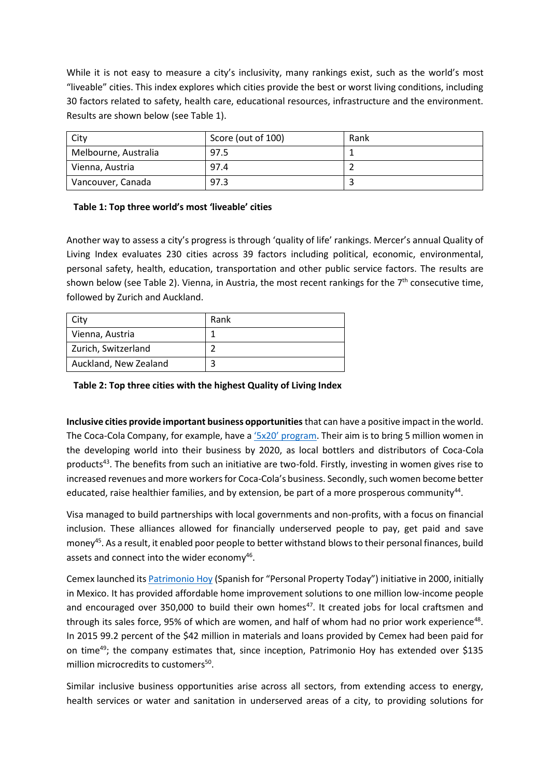While it is not easy to measure a city's inclusivity, many rankings exist, such as the world's most "liveable" cities. This index explores which cities provide the best or worst living conditions, including 30 factors related to safety, health care, educational resources, infrastructure and the environment. Results are shown below (see Table 1).

| City                 | Score (out of 100) | Rank |
|----------------------|--------------------|------|
| Melbourne, Australia | 97.5               |      |
| Vienna, Austria      | 97.4               |      |
| Vancouver, Canada    | 97.3               |      |

## **Table 1: Top three world's most 'liveable' cities**

Another way to assess a city's progress is through 'quality of life' rankings. Mercer's annual Quality of Living Index evaluates 230 cities across 39 factors including political, economic, environmental, personal safety, health, education, transportation and other public service factors. The results are shown below (see Table 2). Vienna, in Austria, the most recent rankings for the  $7<sup>th</sup>$  consecutive time, followed by Zurich and Auckland.

| City                  | Rank |
|-----------------------|------|
| Vienna, Austria       |      |
| Zurich, Switzerland   |      |
| Auckland, New Zealand |      |

**Table 2: Top three cities with the highest Quality of Living Index** 

**Inclusive cities provide important business opportunities** that can have a positive impact in the world. The Coca-Cola Company, for example, have a '5x20' [program.](http://www.coca-colacompany.com/5by20) Their aim is to bring 5 million women in the developing world into their business by 2020, as local bottlers and distributors of Coca-Cola products<sup>43</sup>. The benefits from such an initiative are two-fold. Firstly, investing in women gives rise to increased revenues and more workers for Coca-Cola's business. Secondly, such women become better educated, raise healthier families, and by extension, be part of a more prosperous community<sup>44</sup>.

Visa managed to build partnerships with local governments and non-profits, with a focus on financial inclusion. These alliances allowed for financially underserved people to pay, get paid and save money<sup>45</sup>. As a result, it enabled poor people to better withstand blows to their personal finances, build assets and connect into the wider economy<sup>46</sup>.

Cemex launched it[s Patrimonio Hoy](https://www.cemex.com/web/cemex-mexico/sostenibilidad/vivienda/patrimonio-hoy) (Spanish for "Personal Property Today") initiative in 2000, initially in Mexico. It has provided affordable home improvement solutions to one million low-income people and encouraged over 350,000 to build their own homes $47$ . It created jobs for local craftsmen and through its sales force, 95% of which are women, and half of whom had no prior work experience<sup>48</sup>. In 2015 99.2 percent of the \$42 million in materials and loans provided by Cemex had been paid for on time<sup>49</sup>; the company estimates that, since inception, Patrimonio Hoy has extended over \$135 million microcredits to customers<sup>50</sup>.

Similar inclusive business opportunities arise across all sectors, from extending access to energy, health services or water and sanitation in underserved areas of a city, to providing solutions for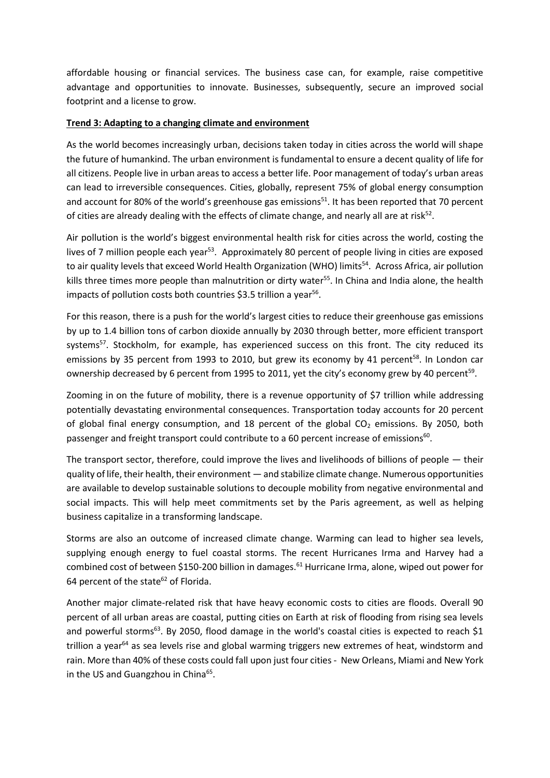affordable housing or financial services. The business case can, for example, raise competitive advantage and opportunities to innovate. Businesses, subsequently, secure an improved social footprint and a license to grow.

## **Trend 3: Adapting to a changing climate and environment**

As the world becomes increasingly urban, decisions taken today in cities across the world will shape the future of humankind. The urban environment is fundamental to ensure a decent quality of life for all citizens. People live in urban areas to access a better life. Poor management of today's urban areas can lead to irreversible consequences. Cities, globally, represent 75% of global energy consumption and account for 80% of the world's greenhouse gas emissions<sup>51</sup>. It has been reported that 70 percent of cities are already dealing with the effects of climate change, and nearly all are at risk $52$ .

Air pollution is the world's biggest environmental health risk for cities across the world, costing the lives of 7 million people each year<sup>53</sup>. Approximately 80 percent of people living in cities are exposed to air quality levels that exceed World Health Organization (WHO) limits<sup>54</sup>. Across Africa, air pollution kills three times more people than malnutrition or dirty water<sup>55</sup>. In China and India alone, the health impacts of pollution costs both countries \$3.5 trillion a year<sup>56</sup>.

For this reason, there is a push for the world's largest cities to reduce their greenhouse gas emissions by up to 1.4 billion tons of carbon dioxide annually by 2030 through better, more efficient transport systems<sup>57</sup>. Stockholm, for example, has experienced success on this front. The city reduced its emissions by 35 percent from 1993 to 2010, but grew its economy by 41 percent<sup>58</sup>. In London car ownership decreased by 6 percent from 1995 to 2011, yet the city's economy grew by 40 percent<sup>59</sup>.

Zooming in on the future of mobility, there is a revenue opportunity of \$7 trillion while addressing potentially devastating environmental consequences. Transportation today accounts for 20 percent of global final energy consumption, and 18 percent of the global  $CO<sub>2</sub>$  emissions. By 2050, both passenger and freight transport could contribute to a 60 percent increase of emissions<sup>60</sup>.

The transport sector, therefore, could improve the lives and livelihoods of billions of people — their quality of life, their health, their environment — and stabilize climate change. Numerous opportunities are available to develop sustainable solutions to decouple mobility from negative environmental and social impacts. This will help meet commitments set by the Paris agreement, as well as helping business capitalize in a transforming landscape.

Storms are also an outcome of increased climate change. Warming can lead to higher sea levels, supplying enough energy to fuel coastal storms. The recent Hurricanes Irma and Harvey had a combined cost of between \$150-200 billion in damages.<sup>61</sup> Hurricane Irma, alone, wiped out power for 64 percent of the state<sup>62</sup> of Florida.

Another major climate-related risk that have heavy economic costs to cities are floods. Overall 90 percent of all urban areas are coastal, putting cities on Earth at risk of flooding from rising sea levels and powerful storms<sup>63</sup>. By 2050, flood damage in the world's coastal cities is expected to reach \$1 trillion a year<sup>64</sup> as sea levels rise and global warming triggers new extremes of heat, windstorm and rain. More than 40% of these costs could fall upon just four cities - New Orleans, Miami and New York in the US and Guangzhou in China<sup>65</sup>.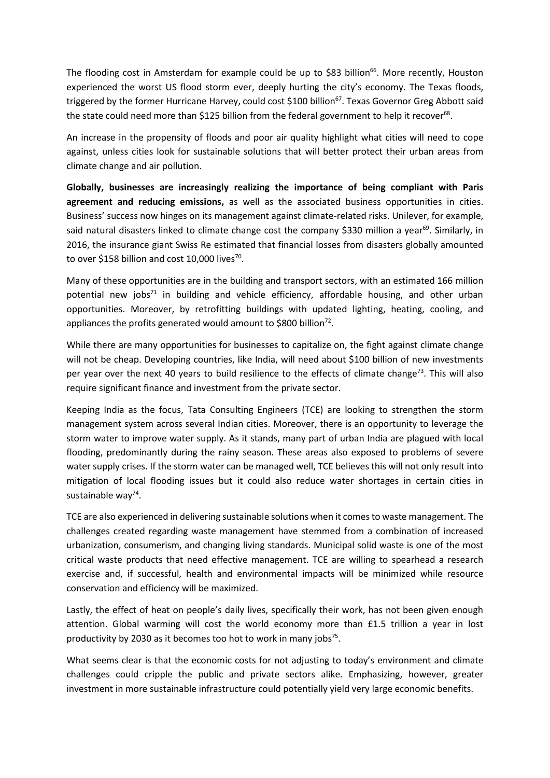The flooding cost in Amsterdam for example could be up to \$83 billion<sup>66</sup>. More recently, Houston experienced the worst US flood storm ever, deeply hurting the city's economy. The Texas floods, triggered by the former Hurricane Harvey, could cost \$100 billion<sup>67</sup>. Texas Governor Greg Abbott said the state could need more than \$125 billion from the federal government to help it recover<sup>68</sup>.

An increase in the propensity of floods and poor air quality highlight what cities will need to cope against, unless cities look for sustainable solutions that will better protect their urban areas from climate change and air pollution.

**Globally, businesses are increasingly realizing the importance of being compliant with Paris agreement and reducing emissions,** as well as the associated business opportunities in cities. Business' success now hinges on its management against climate-related risks. Unilever, for example, said natural disasters linked to climate change cost the company \$330 million a year<sup>69</sup>. Similarly, in 2016, the insurance giant Swiss Re estimated that financial losses from disasters globally amounted to over \$158 billion and cost 10,000 lives $70$ .

Many of these opportunities are in the building and transport sectors, with an estimated 166 million potential new jobs<sup>71</sup> in building and vehicle efficiency, affordable housing, and other urban opportunities. Moreover, by retrofitting buildings with updated lighting, heating, cooling, and appliances the profits generated would amount to \$800 billion $^{72}$ .

While there are many opportunities for businesses to capitalize on, the fight against climate change will not be cheap. Developing countries, like India, will need about \$100 billion of new investments per year over the next 40 years to build resilience to the effects of climate change<sup>73</sup>. This will also require significant finance and investment from the private sector.

Keeping India as the focus, Tata Consulting Engineers (TCE) are looking to strengthen the storm management system across several Indian cities. Moreover, there is an opportunity to leverage the storm water to improve water supply. As it stands, many part of urban India are plagued with local flooding, predominantly during the rainy season. These areas also exposed to problems of severe water supply crises. If the storm water can be managed well, TCE believes this will not only result into mitigation of local flooding issues but it could also reduce water shortages in certain cities in sustainable way<sup>74</sup>.

TCE are also experienced in delivering sustainable solutions when it comes to waste management. The challenges created regarding waste management have stemmed from a combination of increased urbanization, consumerism, and changing living standards. Municipal solid waste is one of the most critical waste products that need effective management. TCE are willing to spearhead a research exercise and, if successful, health and environmental impacts will be minimized while resource conservation and efficiency will be maximized.

Lastly, the effect of heat on people's daily lives, specifically their work, has not been given enough attention. Global warming will cost the world economy more than £1.5 trillion a year in lost productivity by 2030 as it becomes too hot to work in many jobs $75$ .

What seems clear is that the economic costs for not adjusting to today's environment and climate challenges could cripple the public and private sectors alike. Emphasizing, however, greater investment in more sustainable infrastructure could potentially yield very large economic benefits.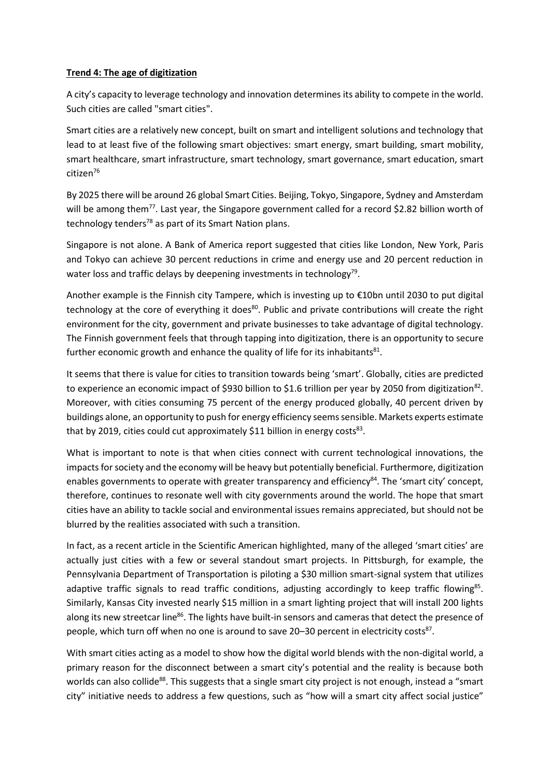## **Trend 4: The age of digitization**

A city's capacity to leverage technology and innovation determines its ability to compete in the world. Such cities are called "smart cities".

Smart cities are a relatively new concept, built on smart and intelligent solutions and technology that lead to at least five of the following smart objectives: smart energy, smart building, smart mobility, smart healthcare, smart infrastructure, smart technology, smart governance, smart education, smart citizen<sup>76</sup>

By 2025 there will be around 26 global Smart Cities. Beijing, Tokyo, Singapore, Sydney and Amsterdam will be among them<sup>77</sup>. Last year, the Singapore government called for a record \$2.82 billion worth of technology tenders<sup>78</sup> as part of its Smart Nation plans.

Singapore is not alone. A Bank of America report suggested that cities like London, New York, Paris and Tokyo can achieve 30 percent reductions in crime and energy use and 20 percent reduction in water loss and traffic delays by deepening investments in technology<sup>79</sup>.

Another example is the Finnish city Tampere, which is investing up to €10bn until 2030 to put digital technology at the core of everything it does<sup>80</sup>. Public and private contributions will create the right environment for the city, government and private businesses to take advantage of digital technology. The Finnish government feels that through tapping into digitization, there is an opportunity to secure further economic growth and enhance the quality of life for its inhabitants<sup>81</sup>.

It seems that there is value for cities to transition towards being 'smart'. Globally, cities are predicted to experience an economic impact of \$930 billion to \$1.6 trillion per year by 2050 from digitization<sup>82</sup>. Moreover, with cities consuming 75 percent of the energy produced globally, 40 percent driven by buildings alone, an opportunity to push for energy efficiency seems sensible. Markets experts estimate that by 2019, cities could cut approximately \$11 billion in energy costs<sup>83</sup>.

What is important to note is that when cities connect with current technological innovations, the impacts for society and the economy will be heavy but potentially beneficial. Furthermore, digitization enables governments to operate with greater transparency and efficiency<sup>84</sup>. The 'smart city' concept, therefore, continues to resonate well with city governments around the world. The hope that smart cities have an ability to tackle social and environmental issues remains appreciated, but should not be blurred by the realities associated with such a transition.

In fact, as a recent article in the Scientific American highlighted, many of the alleged 'smart cities' are actually just cities with a few or several standout smart projects. In Pittsburgh, for example, the Pennsylvania Department of Transportation is piloting a \$30 million smart-signal system that utilizes adaptive traffic signals to read traffic conditions, adjusting accordingly to keep traffic flowing<sup>85</sup>. Similarly, Kansas City invested nearly \$15 million in a smart lighting project that will install 200 lights along its new streetcar line<sup>86</sup>. The lights have built-in sensors and cameras that detect the presence of people, which turn off when no one is around to save 20-30 percent in electricity costs<sup>87</sup>.

With smart cities acting as a model to show how the digital world blends with the non-digital world, a primary reason for the disconnect between a smart city's potential and the reality is because both worlds can also collide<sup>88</sup>. This suggests that a single smart city project is not enough, instead a "smart city" initiative needs to address a few questions, such as "how will a smart city affect social justice"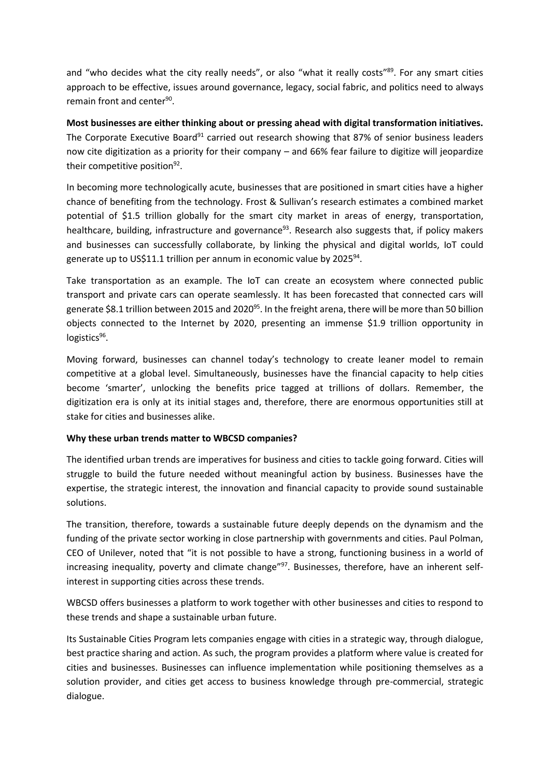and "who decides what the city really needs", or also "what it really costs"<sup>89</sup>. For any smart cities approach to be effective, issues around governance, legacy, social fabric, and politics need to always remain front and center<sup>90</sup>.

**Most businesses are either thinking about or pressing ahead with digital transformation initiatives.** The Corporate Executive Board<sup>91</sup> carried out research showing that 87% of senior business leaders now cite digitization as a priority for their company – and 66% fear failure to digitize will jeopardize their competitive position<sup>92</sup>.

In becoming more technologically acute, businesses that are positioned in smart cities have a higher chance of benefiting from the technology. Frost & Sullivan's research estimates a combined market potential of \$1.5 trillion globally for the smart city market in areas of energy, transportation, healthcare, building, infrastructure and governance<sup>93</sup>. Research also suggests that, if policy makers and businesses can successfully collaborate, by linking the physical and digital worlds, IoT could generate up to US\$11.1 trillion per annum in economic value by 2025<sup>94</sup>.

Take transportation as an example. The IoT can create an ecosystem where connected public transport and private cars can operate seamlessly. It has been forecasted that connected cars will generate \$8.1 trillion between 2015 and 2020<sup>95</sup>. In the freight arena, there will be more than 50 billion objects connected to the Internet by 2020, presenting an immense \$1.9 trillion opportunity in logistics<sup>96</sup>.

Moving forward, businesses can channel today's technology to create leaner model to remain competitive at a global level. Simultaneously, businesses have the financial capacity to help cities become 'smarter', unlocking the benefits price tagged at trillions of dollars. Remember, the digitization era is only at its initial stages and, therefore, there are enormous opportunities still at stake for cities and businesses alike.

# **Why these urban trends matter to WBCSD companies?**

The identified urban trends are imperatives for business and cities to tackle going forward. Cities will struggle to build the future needed without meaningful action by business. Businesses have the expertise, the strategic interest, the innovation and financial capacity to provide sound sustainable solutions.

The transition, therefore, towards a sustainable future deeply depends on the dynamism and the funding of the private sector working in close partnership with governments and cities. Paul Polman, CEO of Unilever, noted that "it is not possible to have a strong, functioning business in a world of increasing inequality, poverty and climate change"<sup>97</sup>. Businesses, therefore, have an inherent selfinterest in supporting cities across these trends.

WBCSD offers businesses a platform to work together with other businesses and cities to respond to these trends and shape a sustainable urban future.

Its Sustainable Cities Program lets companies engage with cities in a strategic way, through dialogue, best practice sharing and action. As such, the program provides a platform where value is created for cities and businesses. Businesses can influence implementation while positioning themselves as a solution provider, and cities get access to business knowledge through pre-commercial, strategic dialogue.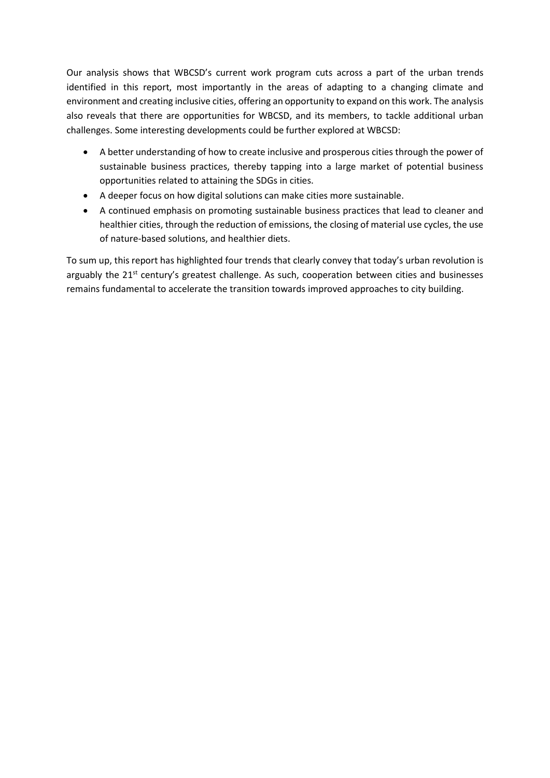Our analysis shows that WBCSD's current work program cuts across a part of the urban trends identified in this report, most importantly in the areas of adapting to a changing climate and environment and creating inclusive cities, offering an opportunity to expand on this work. The analysis also reveals that there are opportunities for WBCSD, and its members, to tackle additional urban challenges. Some interesting developments could be further explored at WBCSD:

- A better understanding of how to create inclusive and prosperous cities through the power of sustainable business practices, thereby tapping into a large market of potential business opportunities related to attaining the SDGs in cities.
- A deeper focus on how digital solutions can make cities more sustainable.
- A continued emphasis on promoting sustainable business practices that lead to cleaner and healthier cities, through the reduction of emissions, the closing of material use cycles, the use of nature-based solutions, and healthier diets.

To sum up, this report has highlighted four trends that clearly convey that today's urban revolution is arguably the  $21<sup>st</sup>$  century's greatest challenge. As such, cooperation between cities and businesses remains fundamental to accelerate the transition towards improved approaches to city building.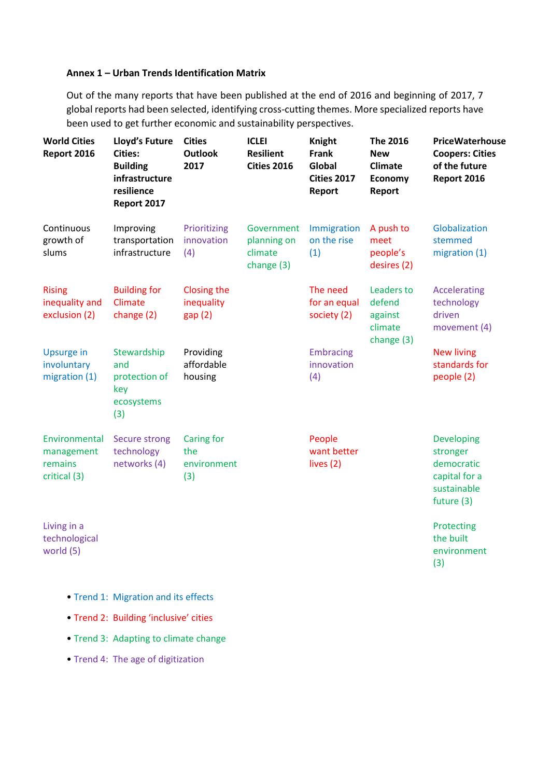## **Annex 1 – Urban Trends Identification Matrix**

Out of the many reports that have been published at the end of 2016 and beginning of 2017, 7 global reports had been selected, identifying cross-cutting themes. More specialized reports have been used to get further economic and sustainability perspectives.

| <b>World Cities</b><br>Report 2016                     | <b>Lloyd's Future</b><br><b>Cities:</b><br><b>Building</b><br>infrastructure<br>resilience<br>Report 2017 | <b>Cities</b><br><b>Outlook</b><br>2017        | <b>ICLEI</b><br><b>Resilient</b><br><b>Cities 2016</b> | <b>Knight</b><br><b>Frank</b><br>Global<br><b>Cities 2017</b><br>Report | <b>The 2016</b><br><b>New</b><br><b>Climate</b><br><b>Economy</b><br>Report | PriceWaterhouse<br><b>Coopers: Cities</b><br>of the future<br>Report 2016                 |
|--------------------------------------------------------|-----------------------------------------------------------------------------------------------------------|------------------------------------------------|--------------------------------------------------------|-------------------------------------------------------------------------|-----------------------------------------------------------------------------|-------------------------------------------------------------------------------------------|
| Continuous<br>growth of<br>slums                       | Improving<br>transportation<br>infrastructure                                                             | Prioritizing<br>innovation<br>(4)              | Government<br>planning on<br>climate<br>change (3)     | Immigration<br>on the rise<br>(1)                                       | A push to<br>meet<br>people's<br>desires (2)                                | Globalization<br>stemmed<br>migration (1)                                                 |
| <b>Rising</b><br>inequality and<br>exclusion (2)       | <b>Building for</b><br>Climate<br>change (2)                                                              | Closing the<br>inequality<br>gap(2)            |                                                        | The need<br>for an equal<br>society (2)                                 | Leaders to<br>defend<br>against<br>climate<br>change (3)                    | <b>Accelerating</b><br>technology<br>driven<br>movement (4)                               |
| Upsurge in<br>involuntary<br>migration (1)             | Stewardship<br>and<br>protection of<br>key<br>ecosystems<br>(3)                                           | Providing<br>affordable<br>housing             |                                                        | <b>Embracing</b><br>innovation<br>(4)                                   |                                                                             | <b>New living</b><br>standards for<br>people (2)                                          |
| Environmental<br>management<br>remains<br>critical (3) | <b>Secure strong</b><br>technology<br>networks (4)                                                        | <b>Caring for</b><br>the<br>environment<br>(3) |                                                        | People<br>want better<br>lives (2)                                      |                                                                             | <b>Developing</b><br>stronger<br>democratic<br>capital for a<br>sustainable<br>future (3) |
| Living in a<br>technological<br>world (5)              |                                                                                                           |                                                |                                                        |                                                                         |                                                                             | Protecting<br>the built<br>environment<br>(3)                                             |

- Trend 1: Migration and its effects
- Trend 2: Building 'inclusive' cities
- Trend 3: Adapting to climate change
- Trend 4: The age of digitization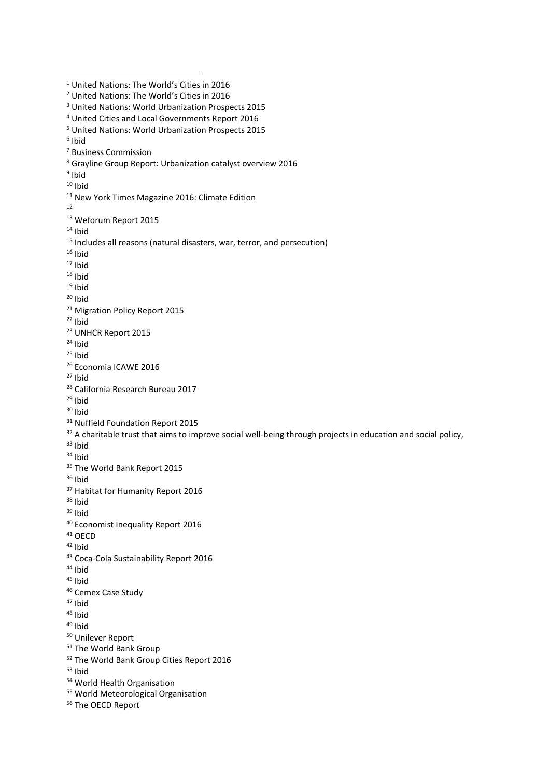<sup>1</sup> United Nations: The World's Cities in 2016 United Nations: The World's Cities in 2016 United Nations: World Urbanization Prospects 2015 United Cities and Local Governments Report 2016 United Nations: World Urbanization Prospects 2015 Ibid Business Commission Grayline Group Report: Urbanization catalyst overview 2016 <sup>9</sup> Ibid Ibid <sup>11</sup> New York Times Magazine 2016: Climate Edition Weforum Report 2015 Ibid <sup>15</sup> Includes all reasons (natural disasters, war, terror, and persecution) Ibid Ibid Ibid Ibid Ibid <sup>21</sup> Migration Policy Report 2015 Ibid UNHCR Report 2015 Ibid Ibid Economia ICAWE 2016 Ibid California Research Bureau 2017 Ibid Ibid <sup>31</sup> Nuffield Foundation Report 2015 <sup>32</sup> A charitable trust that aims to improve social well-being through projects in education and social policy, Ibid Ibid <sup>35</sup> The World Bank Report 2015 Ibid Habitat for Humanity Report 2016 Ibid Ibid Economist Inequality Report 2016 OECD Ibid Coca-Cola Sustainability Report 2016 Ibid Ibid Cemex Case Study Ibid Ibid Ibid Unilever Report The World Bank Group The World Bank Group Cities Report 2016 Ibid World Health Organisation World Meteorological Organisation The OECD Report

**.**